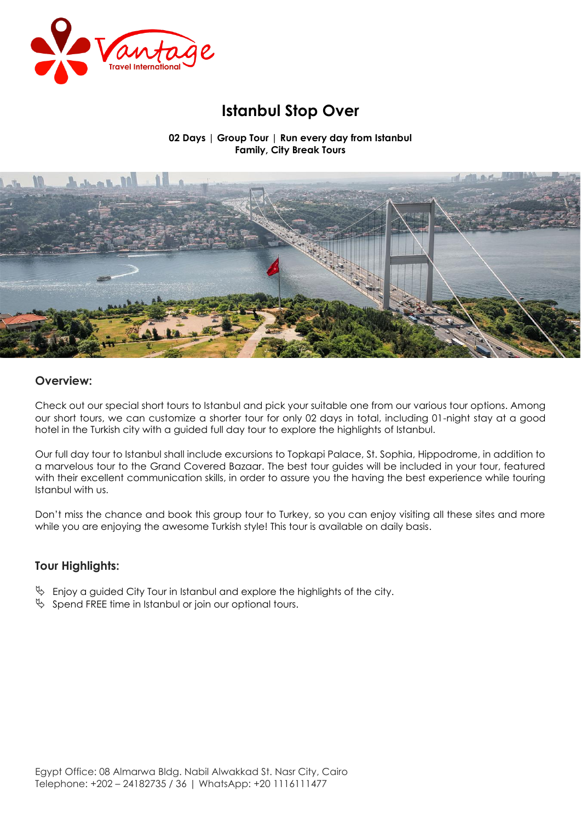

# **Istanbul Stop Over**

**02 Days | Group Tour | Run every day from Istanbul Family, City Break Tours**



## **Overview:**

Check out our special short tours to Istanbul and pick your suitable one from our various tour options. Among our short tours, we can customize a shorter tour for only 02 days in total, including 01-night stay at a good hotel in the Turkish city with a guided full day tour to explore the highlights of Istanbul.

Our full day tour to Istanbul shall include excursions to Topkapi Palace, St. Sophia, Hippodrome, in addition to a marvelous tour to the Grand Covered Bazaar. The best tour guides will be included in your tour, featured with their excellent communication skills, in order to assure you the having the best experience while touring Istanbul with us .

Don't miss the chance and book this group tour to Turkey, so you can enjoy visiting all these sites and more while you are enjoying the awesome Turkish style! This tour is available on daily basis.

# **Tour Highlights:**

- $\%$  Enjoy a guided City Tour in Istanbul and explore the highlights of the city.
- $\%$  Spend FREE time in Istanbul or join our optional tours.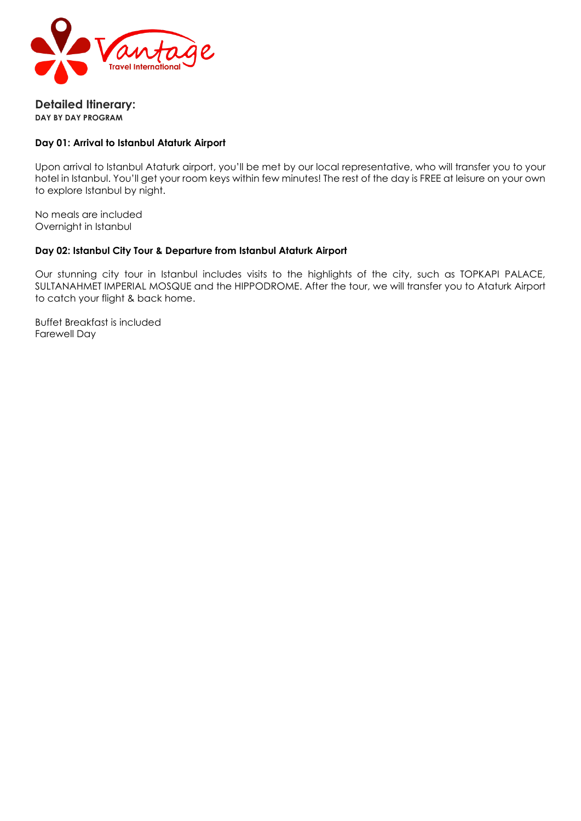

**Detailed Itinerary: DAY BY DAY PROGRAM**

## **Day 01: Arrival to Istanbul Ataturk Airport**

Upon arrival to Istanbul Ataturk airport, you'll be met by our local representative, who will transfer you to your hotel in Istanbul. You'll get your room keys within few minutes! The rest of the day is FREE at leisure on your own to explore Istanbul by night.

No meals are included Overnight in Istanbul

#### **Day 02: Istanbul City Tour & Departure from Istanbul Ataturk Airport**

Our stunning city tour in Istanbul includes visits to the highlights of the city, such as TOPKAPI PALACE, SULTANAHMET IMPERIAL MOSQUE and the HIPPODROME. After the tour, we will transfer you to Ataturk Airport to catch your flight & back home.

Buffet Breakfast is included Farewell Day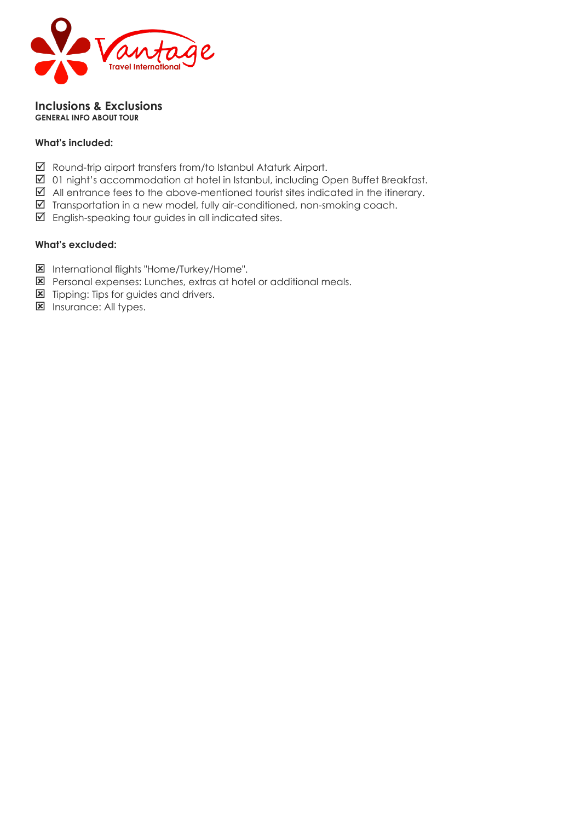

#### **Inclusions & Exclusions GENERAL INFO ABOUT TOUR**

## **What's included:**

- Round-trip airport transfers from/to Istanbul Ataturk Airport.
- 01 night's accommodation at hotel in Istanbul, including Open Buffet Breakfast.
- $\boxtimes$  All entrance fees to the above-mentioned tourist sites indicated in the itinerary.
- $\boxtimes$  Transportation in a new model, fully air-conditioned, non-smoking coach.
- $\boxtimes$  English-speaking tour guides in all indicated sites.

## **What's excluded:**

- International flights "Home/Turkey/Home".
- **E** Personal expenses: Lunches, extras at hotel or additional meals.
- **E** Tipping: Tips for guides and drivers.
- **E** Insurance: All types.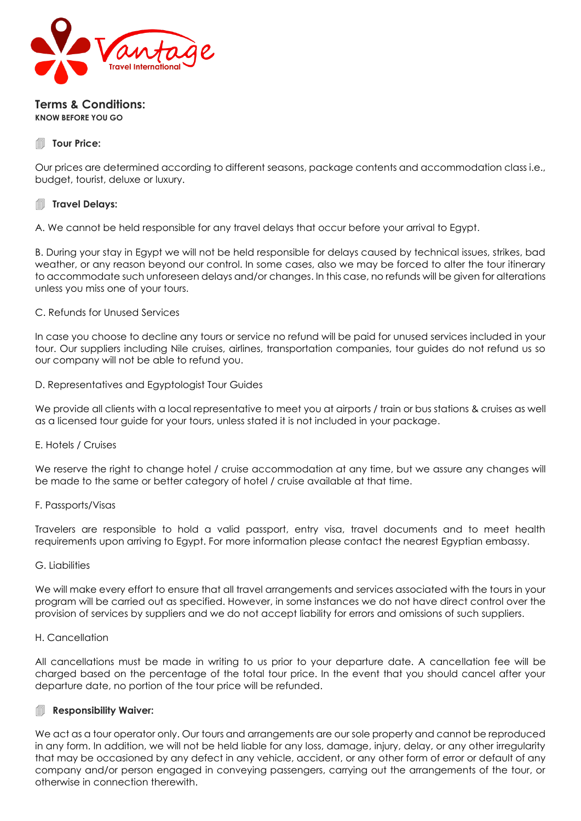

#### **Terms & Conditions: KNOW BEFORE YOU GO**

## **Tour Price:**

Our prices are determined according to different seasons, package contents and accommodation class i.e., budget, tourist, deluxe or luxury.

## **Travel Delays:**

A. We cannot be held responsible for any travel delays that occur before your arrival to Egypt.

B. During your stay in Egypt we will not be held responsible for delays caused by technical issues, strikes, bad weather, or any reason beyond our control. In some cases, also we may be forced to alter the tour itinerary to accommodate such unforeseen delays and/or changes. In this case, no refunds will be given for alterations unless you miss one of your tours.

#### C. Refunds for Unused Services

In case you choose to decline any tours or service no refund will be paid for unused services included in your tour. Our suppliers including Nile cruises, airlines, transportation companies, tour guides do not refund us so our company will not be able to refund you.

#### D. Representatives and Egyptologist Tour Guides

We provide all clients with a local representative to meet you at airports / train or bus stations & cruises as well as a licensed tour guide for your tours, unless stated it is not included in your package.

#### E. Hotels / Cruises

We reserve the right to change hotel / cruise accommodation at any time, but we assure any changes will be made to the same or better category of hotel / cruise available at that time.

#### F. Passports/Visas

Travelers are responsible to hold a valid passport, entry visa, travel documents and to meet health requirements upon arriving to Egypt. For more information please contact the nearest Egyptian embassy.

#### G. Liabilities

We will make every effort to ensure that all travel arrangements and services associated with the tours in your program will be carried out as specified. However, in some instances we do not have direct control over the provision of services by suppliers and we do not accept liability for errors and omissions of such suppliers.

#### H. Cancellation

All cancellations must be made in writing to us prior to your departure date. A cancellation fee will be charged based on the percentage of the total tour price. In the event that you should cancel after your departure date, no portion of the tour price will be refunded.

#### Responsibility Waiver:

We act as a tour operator only. Our tours and arrangements are our sole property and cannot be reproduced in any form. In addition, we will not be held liable for any loss, damage, injury, delay, or any other irregularity that may be occasioned by any defect in any vehicle, accident, or any other form of error or default of any company and/or person engaged in conveying passengers, carrying out the arrangements of the tour, or otherwise in connection therewith.